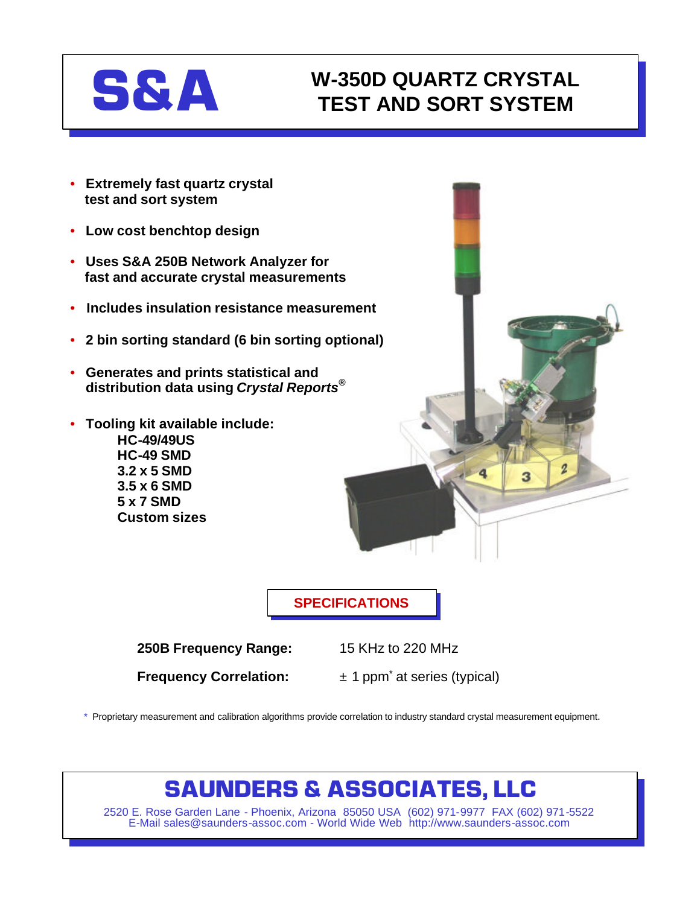

### **W-350D QUARTZ CRYSTAL TEST AND SORT SYSTEM**

- **Extremely fast quartz crystal test and sort system**
- **Low cost benchtop design**
- **Uses S&A 250B Network Analyzer for fast and accurate crystal measurements**
- **Includes insulation resistance measurement**
- **2 bin sorting standard (6 bin sorting optional)**
- **Generates and prints statistical and distribution data using** *Crystal Reports®*
- **Tooling kit available include: HC-49/49US HC-49 SMD**
	- **3.2 x 5 SMD 3.5 x 6 SMD 5 x 7 SMD Custom sizes**



**SPECIFICATIONS**

**250B Frequency Range:** 15 KHz to 220 MHz

**Frequency Correlation:**  $\pm 1$  ppm<sup>\*</sup> at series (typical)

\* Proprietary measurement and calibration algorithms provide correlation to industry standard crystal measurement equipment.

## **SAUNDERS & ASSOCIATES, LLC**

2520 E. Rose Garden Lane - Phoenix, Arizona 85050 USA (602) 971-9977 FAX (602) 971-5522 E-Mail sales@saunders-assoc.com - World Wide Web http://www.saunders-assoc.com